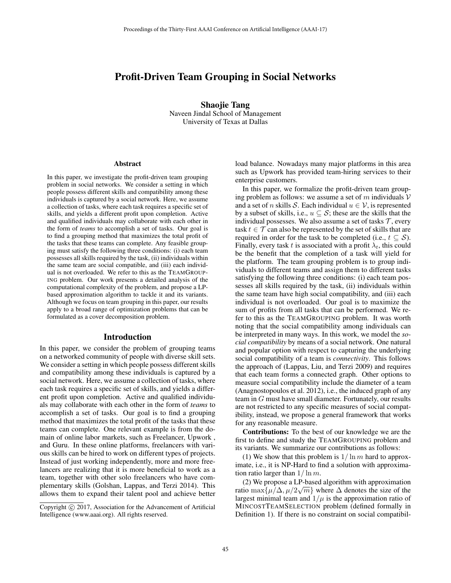# Profit-Driven Team Grouping in Social Networks

Shaojie Tang Naveen Jindal School of Management University of Texas at Dallas

#### **Abstract**

In this paper, we investigate the profit-driven team grouping problem in social networks. We consider a setting in which people possess different skills and compatibility among these individuals is captured by a social network. Here, we assume a collection of tasks, where each task requires a specific set of skills, and yields a different profit upon completion. Active and qualified individuals may collaborate with each other in the form of *teams* to accomplish a set of tasks. Our goal is to find a grouping method that maximizes the total profit of the tasks that these teams can complete. Any feasible grouping must satisfy the following three conditions: (i) each team possesses all skills required by the task, (ii) individuals within the same team are social compatible, and (iii) each individual is not overloaded. We refer to this as the TEAMGROUP-ING problem. Our work presents a detailed analysis of the computational complexity of the problem, and propose a LPbased approximation algorithm to tackle it and its variants. Although we focus on team grouping in this paper, our results apply to a broad range of optimization problems that can be formulated as a cover decomposition problem.

#### Introduction

In this paper, we consider the problem of grouping teams on a networked community of people with diverse skill sets. We consider a setting in which people possess different skills and compatibility among these individuals is captured by a social network. Here, we assume a collection of tasks, where each task requires a specific set of skills, and yields a different profit upon completion. Active and qualified individuals may collaborate with each other in the form of *teams* to accomplish a set of tasks. Our goal is to find a grouping method that maximizes the total profit of the tasks that these teams can complete. One relevant example is from the domain of online labor markets, such as Freelancer, Upwork , and Guru. In these online platforms, freelancers with various skills can be hired to work on different types of projects. Instead of just working independently, more and more freelancers are realizing that it is more beneficial to work as a team, together with other solo freelancers who have complementary skills (Golshan, Lappas, and Terzi 2014). This allows them to expand their talent pool and achieve better

load balance. Nowadays many major platforms in this area such as Upwork has provided team-hiring services to their enterprise customers.

In this paper, we formalize the profit-driven team grouping problem as follows: we assume a set of m individuals  $V$ and a set of n skills S. Each individual  $u \in V$ , is represented by a subset of skills, i.e.,  $u \subseteq S$ ; these are the skills that the individual possesses. We also assume a set of tasks  $\mathcal{T}$ , every task  $t \in \mathcal{T}$  can also be represented by the set of skills that are required in order for the task to be completed (i.e.,  $t \subseteq S$ ). Finally, every task t is associated with a profit  $\lambda_t$ , this could be the benefit that the completion of a task will yield for the platform. The team grouping problem is to group individuals to different teams and assign them to different tasks satisfying the following three conditions: (i) each team possesses all skills required by the task, (ii) individuals within the same team have high social compatibility, and (iii) each individual is not overloaded. Our goal is to maximize the sum of profits from all tasks that can be performed. We refer to this as the TEAMGROUPING problem. It was worth noting that the social compatibility among individuals can be interpreted in many ways. In this work, we model the *social compatibility* by means of a social network. One natural and popular option with respect to capturing the underlying social compatibility of a team is *connectivity*. This follows the approach of (Lappas, Liu, and Terzi 2009) and requires that each team forms a connected graph. Other options to measure social compatibility include the diameter of a team (Anagnostopoulos et al. 2012), i.e., the induced graph of any team in G must have small diameter. Fortunately, our results are not restricted to any specific measures of social compatibility, instead, we propose a general framework that works for any reasonable measure.

Contributions: To the best of our knowledge we are the first to define and study the TEAMGROUPING problem and its variants. We summarize our contributions as follows:

(1) We show that this problem is  $1/\ln m$  hard to approximate, i.e., it is NP-Hard to find a solution with approximation ratio larger than  $1/\ln m$ .

(2) We propose a LP-based algorithm with approximation ratio  $\max{\{\mu/\Delta, \mu/2\sqrt{m}\}}$  where  $\Delta$  denotes the size of the<br>largest minimal team and  $1/\mu$  is the approximation ratio of largest minimal team and  $1/\mu$  is the approximation ratio of MINCOSTTEAMSELECTION problem (defined formally in Definition 1). If there is no constraint on social compatibil-

Copyright  $\odot$  2017, Association for the Advancement of Artificial Intelligence (www.aaai.org). All rights reserved.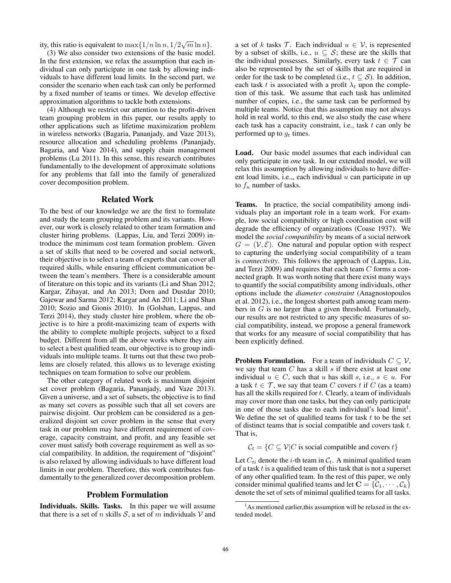ity, this ratio is equivalent to  $\max\{1/n \ln n, 1/2\sqrt{m} \ln n\}$ .<br>(3) We also consider two extensions of the basic mode

(3) We also consider two extensions of the basic model. In the first extension, we relax the assumption that each individual can only participate in one task by allowing individuals to have different load limits. In the second part, we consider the scenario when each task can only be performed by a fixed number of teams or times. We develop effective approximation algorithms to tackle both extensions.

(4) Although we restrict our attention to the profit-driven team grouping problem in this paper, our results apply to other applications such as lifetime maximization problem in wireless networks (Bagaria, Pananjady, and Vaze 2013), resource allocation and scheduling problems (Pananjady, Bagaria, and Vaze 2014), and supply chain management problems (Lu 2011). In this sense, this research contributes fundamentally to the development of approximate solutions for any problems that fall into the family of generalized cover decomposition problem.

## Related Work

To the best of our knowledge we are the first to formulate and study the team grouping problem and its variants. However, our work is closely related to other team formation and cluster hiring problems. (Lappas, Liu, and Terzi 2009) introduce the minimum cost team formation problem. Given a set of skills that need to be covered and social network, their objective is to select a team of experts that can cover all required skills, while ensuring efficient communication between the team's members. There is a considerable amount of literature on this topic and its variants (Li and Shan 2012; Kargar, Zihayat, and An 2013; Dorn and Dustdar 2010; Gajewar and Sarma 2012; Kargar and An 2011; Li and Shan 2010; Sozio and Gionis 2010). In (Golshan, Lappas, and Terzi 2014), they study cluster hire problem, where the objective is to hire a profit-maximizing team of experts with the ability to complete multiple projects, subject to a fixed budget. Different from all the above works where they aim to select a best qualified team, our objective is to group individuals into multiple teams. It turns out that these two problems are closely related, this allows us to leverage existing techniques on team formation to solve our problem.

The other category of related work is maximum disjoint set cover problem (Bagaria, Pananjady, and Vaze 2013). Given a universe, and a set of subsets, the objective is to find as many set covers as possible such that all set covers are pairwise disjoint. Our problem can be considered as a generalized disjoint set cover problem in the sense that every task in our problem may have different requirement of coverage, capacity constraint, and profit, and any feasible set cover must satisfy both coverage requirement as well as social compatibility. In addition, the requirement of "disjoint" is also relaxed by allowing individuals to have different load limits in our problem. Therefore, this work contributes fundamentally to the generalized cover decomposition problem.

## Problem Formulation

Individuals. Skills. Tasks. In this paper we will assume that there is a set of n skills  $S$ , a set of m individuals V and a set of k tasks  $\mathcal{T}$ . Each individual  $u \in \mathcal{V}$ , is represented by a subset of skills, i.e.,  $u \subseteq S$ ; these are the skills that the individual possesses. Similarly, every task  $t \in \mathcal{T}$  can also be represented by the set of skills that are required in order for the task to be completed (i.e.,  $t \subseteq S$ ). In addition, each task t is associated with a profit  $\lambda_t$  upon the completion of this task. We assume that each task has unlimited number of copies, i.e., the same task can be performed by multiple teams. Notice that this assumption may not always hold in real world, to this end, we also study the case where each task has a capacity constraint, i.e., task  $t$  can only be performed up to  $g_t$  times.

Load. Our basic model assumes that each individual can only participate in *one* task. In our extended model, we will relax this assumption by allowing individuals to have different load limits, i.e.,, each individual  $u$  can participate in up to  $f_u$  number of tasks.

Teams. In practice, the social compatibility among individuals play an important role in a team work. For example, low social compatibility or high coordination cost will degrade the efficiency of organizations (Coase 1937). We model the *social compatibility* by means of a social network  $G = (\mathcal{V}, \mathcal{E})$ . One natural and popular option with respect to capturing the underlying social compatibility of a team is *connectivity*. This follows the approach of (Lappas, Liu, and Terzi 2009) and requires that each team C forms a connected graph. It was worth noting that there exist many ways to quantify the social compatibility among individuals, other options include the *diameter constraint* (Anagnostopoulos et al. 2012), i.e., the longest shortest path among team members in G is no larger than a given threshold. Fortunately, our results are not restricted to any specific measures of social compatibility, instead, we propose a general framework that works for any measure of social compatibility that has been explicitly defined.

**Problem Formulation.** For a team of individuals  $C \subseteq V$ , we say that team  $C$  has a skill  $s$  if there exist at least one individual  $u \in C$ , such that u has skill s, i.e.,  $s \in u$ . For a task  $t \in \mathcal{T}$ , we say that team C covers t if C (as a team) has all the skills required for  $t$ . Clearly, a team of individuals may cover more than one tasks, but they can only participate in one of those tasks due to each individual's load  $limit<sup>1</sup>$ . We define the set of qualified teams for task  $t$  to be the set of distinct teams that is social compatible and covers task t. That is,

 $C_t = \{C \subseteq V | C$  is social compatible and covers  $t\}$ 

Let  $C_{ti}$  denote the *i*-th team in  $C_t$ . A minimal qualified team of a task  $t$  is a qualified team of this task that is not a superset of any other qualified team. In the rest of this paper, we only consider minimal qualified teams and let  $C = \{C_1, \dots, C_k\}$ denote the set of sets of minimal qualified teams for all tasks.

<sup>&</sup>lt;sup>1</sup>As mentioned earlier, this assumption will be relaxed in the extended model.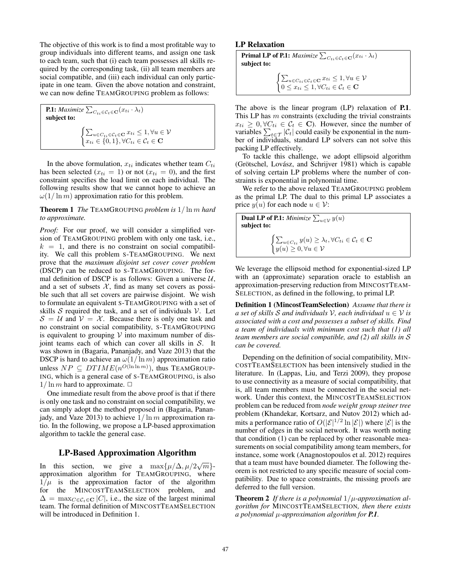The objective of this work is to find a most profitable way to group individuals into different teams, and assign one task to each team, such that (i) each team possesses all skills required by the corresponding task, (ii) all team members are social compatible, and (iii) each individual can only participate in one team. Given the above notation and constraint, we can now define TEAMGROUPING problem as follows:

| <b>P.1:</b> Maximize $\sum_{C_{ti} \in C_t \in \mathbf{C}} (x_{ti} \cdot \lambda_t)$<br>subject to:                                                                                               |
|---------------------------------------------------------------------------------------------------------------------------------------------------------------------------------------------------|
| $\begin{cases} \sum_{u \in C_{ti} \in \mathcal{C}_t \in \mathbf{C}} x_{ti} \leq 1, \forall u \in \mathcal{V} \\ x_{ti} \in \{0, 1\}, \forall C_{ti} \in \mathcal{C}_t \in \mathbf{C} \end{cases}$ |

In the above formulation,  $x_{ti}$  indicates whether team  $C_{ti}$ has been selected ( $x_{ti} = 1$ ) or not ( $x_{ti} = 0$ ), and the first constraint specifies the load limit on each individual. The following results show that we cannot hope to achieve an  $\omega(1/\ln m)$  approximation ratio for this problem.

Theorem 1 *The* TEAMGROUPING *problem is* <sup>1</sup>/ ln <sup>m</sup> *hard to approximate.*

*Proof:* For our proof, we will consider a simplified version of TEAMGROUPING problem with only one task, i.e.,  $k = 1$ , and there is no constraint on social compatibility. We call this problem S-TEAMGROUPING. We next prove that the *maximum disjoint set cover cover problem* (DSCP) can be reduced to S-TEAMGROUPING. The formal definition of DSCP is as follows: Given a universe  $U$ , and a set of subsets  $X$ , find as many set covers as possible such that all set covers are pairwise disjoint. We wish to formulate an equivalent S-TEAMGROUPING with a set of skills  $S$  required the task, and a set of individuals  $V$ . Let  $S = U$  and  $V = X$ . Because there is only one task and no constraint on social compatibility, S-TEAMGROUPING is equivalent to grouping  $V$  into maximum number of disjoint teams each of which can cover all skills in  $S$ . It was shown in (Bagaria, Pananjady, and Vaze 2013) that the DSCP is hard to achieve an  $\omega(1/\ln m)$  approximation ratio unless  $NP \subseteq DTIME(n^{O(\ln \ln m)})$ , thus TEAMGROUP-<br>ING which is a general case of S-TEAMGROUPING is also ING, which is a general case of S-TEAMGROUPING, is also  $1/\ln m$  hard to approximate.  $\Box$ 

One immediate result from the above proof is that if there is only one task and no constraint on social compatibility, we can simply adopt the method proposed in (Bagaria, Pananjady, and Vaze 2013) to achieve  $1/\ln m$  approximation ratio. In the following, we propose a LP-based approximation algorithm to tackle the general case.

## LP-Based Approximation Algorithm

In this section, we give a  $\max{\{\mu/\Delta, \mu/2\sqrt{m}\}}$ -<br>approximation algorithm for TEAMGROUPING where approximation algorithm for TEAMGROUPING, where  $1/\mu$  is the approximation factor of the algorithm<br>for the MINCOSTTEAMSELECTION problem, and for the MINCOSTTEAMSELECTION problem,  $\Delta = \max_{C \in \mathcal{C}_t \in \mathbf{C}} |C|$ , i.e., the size of the largest minimal team. The formal definition of MINCOSTTEAMSELECTION will be introduced in Definition 1.

## LP Relaxation

**Primal LP of P.1:**  $Maximize \sum_{C_{ti} \in \mathcal{C}_t} (\overline{x_{ti}} \cdot \lambda_t)$ subject to:  $\begin{cases} \sum_{u \in C_t_i \in \mathcal{C}_t \in \mathbf{C}} x_{ti} \leq 1, \forall u \in \mathcal{V} \\ 0 \leq x \leq 1, \forall C_i \in \mathcal{C} \in \mathbf{C} \end{cases}$  $0 \leq x_{ti} \leq 1, \forall C_{ti} \in C_t \in \mathbf{C}$ 

The above is the linear program (LP) relaxation of **P.1**. This LP has  $m$  constraints (excluding the trivial constraints  $x_{ti} \geq 0, \forall C_{ti} \in C_t \in \mathbf{C}$ ). However, since the number of variables  $\sum_{t \in \mathcal{T}} |\mathcal{C}_t|$  could easily be exponential in the number of individuals, standard LP solvers can not solve this packing LP effectively.

To tackle this challenge, we adopt ellipsoid algorithm (Grötschel, Lovász, and Schrijver 1981) which is capable of solving certain LP problems where the number of constraints is exponential in polynomial time.

We refer to the above relaxed TEAMGROUPING problem as the primal LP. The dual to this primal LP associates a price  $y(u)$  for each node  $u \in \mathcal{V}$ :

| <b>Dual LP of P.1:</b> Minimize $\sum_{u \in \mathcal{V}} y(u)$<br>subject to:                                                                                 |  |
|----------------------------------------------------------------------------------------------------------------------------------------------------------------|--|
| $\begin{cases} \sum_{u \in C_{ti}} y(u) \geq \lambda_t, \forall C_{ti} \in \mathcal{C}_t \in \mathbf{C} \\ y(u) \geq 0, \forall u \in \mathcal{V} \end{cases}$ |  |

We leverage the ellipsoid method for exponential-sized LP with an (approximate) separation oracle to establish an approximation-preserving reduction from MINCOSTTEAM-SELECTION, as defined in the following, to primal LP.

Definition 1 (MincostTeamSelection) *Assume that there is a set of skills* S *and individuals*  $V$ *, each individual*  $u \in V$  *is associated with a cost and possesses a subset of skills. Find a team of individuals with minimum cost such that (1) all team members are social compatible, and (2) all skills in* S *can be covered.*

Depending on the definition of social compatibility, MIN-COSTTEAMSELECTION has been intensively studied in the literature. In (Lappas, Liu, and Terzi 2009), they propose to use connectivity as a measure of social compatibility, that is, all team members must be connected in the social network. Under this context, the MINCOSTTEAMSELECTION problem can be reduced from *node weight group steiner tree* problem (Khandekar, Kortsarz, and Nutov 2012) which admits a performance ratio of  $O(|\mathcal{E}|^{1/2} \ln |\mathcal{E}|)$  where  $|\mathcal{E}|$  is the number of edges in the social network. It was worth noting that condition (1) can be replaced by other reasonable measurements on social compatibility among team members, for instance, some work (Anagnostopoulos et al. 2012) requires that a team must have bounded diameter. The following theorem is not restricted to any specific measure of social compatibility. Due to space constraints, the missing proofs are deferred to the full version.

Theorem 2 *If there is a polynomial* <sup>1</sup>/μ*-approximation algorithm for* MINCOSTTEAMSELECTION*, then there exists a polynomial* μ*-approximation algorithm for P.1.*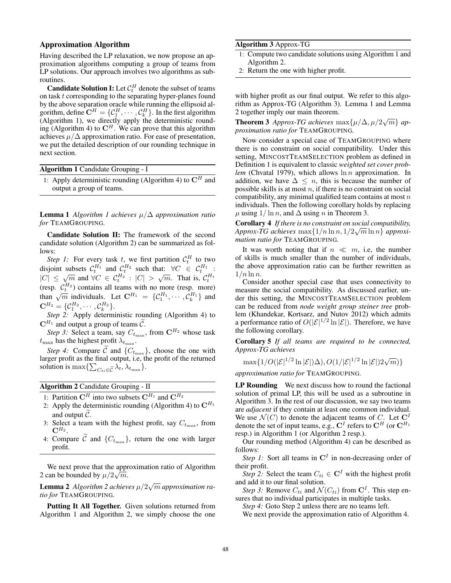### Approximation Algorithm

Having described the LP relaxation, we now propose an approximation algorithms computing a group of teams from LP solutions. Our approach involves two algorithms as subroutines.

**Candidate Solution I:** Let  $\mathcal{C}_t^H$  denote the subset of teams on task t corresponding to the separating hyper-planes found by the above separation oracle while running the ellipsoid algorithm, define  $\mathbf{C}^H = \{C_1^H, \cdots, C_k^H\}$ . In the first algorithm (Algorithm 1), we directly apply the deterministic rounding (Algorithm 4) to  $\mathbb{C}^H$ . We can prove that this algorithm achieves  $\mu/\Delta$  approximation ratio. For ease of presentation, we put the detailed description of our rounding technique in next section.

| <b>Algorithm 1</b> Candidate Grouping - I                           |  |
|---------------------------------------------------------------------|--|
| 1: Apply deterministic rounding (Algorithm 4) to $\mathbb{C}^H$ and |  |
| output a group of teams.                                            |  |

Lemma 1 *Algorithm 1 achieves* μ/<sup>Δ</sup> *approximation ratio for* TEAMGROUPING*.*

Candidate Solution II: The framework of the second candidate solution (Algorithm 2) can be summarized as follows:

*Step 1:* For every task t, we first partition  $C_t^H$ <br>violation that  $C_{\text{H}_1}^H$  and  $C_{\text{H}_2}^H$  such that  $\forall C \in$ Step 1: For every task t, we first partition  $C_t^H$  to two disjoint subsets  $C_t^{H_1}$  and  $C_t^{H_2}$  such that:  $\forall C \in C_t^{H_1}$ :<br> $|C| \leq \sqrt{m}$  and  $\forall C \in C_t^{H_2}$ :  $|C| \geq \sqrt{m}$ . That is  $C_t^{H_1}$ .  $|C| \leq \sqrt{m}$  and  $\forall C \in C_t^{H_2} : |C| > \sqrt{m}$ . That is,  $C_t^{H_1}$ <br>(resp.  $C_{t}^{H_2}$ ) contains all teams with no more (resp. more) (resp.  $C_t^{H_2}$ ) contains all teams with no more (resp. more) than  $\sqrt{m}$  individuals. Let  $\mathbf{C}^{H_1} = \{C_1^{H_1}, \cdots, C_k^{H_1}\}\$  and  $\mathbf{C}^{H_2} = \{C_1^{H_2}, \cdots, C_k^{H_k}\}\$  $\mathbf{C}^{H_2} = \{ \mathcal{C}_1^{H_2}, \cdots, \mathcal{C}_k^{H_2} \}.$ <br>Step 2: Apply determ

*Step 2:* Apply deterministic rounding (Algorithm 4) to  $\mathbf{C}^{H_1}$  and output a group of teams  $\widetilde{C}$ .

*Step 3:* Select a team, say  $C_{t_{\text{max}}}$ , from  $\mathbb{C}^{H_2}$  whose task  $t_{\text{max}}$  has the highest profit  $\lambda_{t_{\text{max}}}$ .<br>Stan 4: Compare  $\tilde{\beta}$  and  $\tilde{\beta}$ .

*Step 4:* Compare C and  $\{C_{t_{\text{max}}} \}$ , choose the one with larger profit as the final output, i.e, the profit of the returned solution is max $\{\sum_{C_{ti}\in\widetilde{\mathcal{C}}} \lambda_t, \lambda_{t_{\max}}\}.$ 

Algorithm 2 Candidate Grouping - II

- 1: Partition  $\mathbf{C}^H$  into two subsets  $\mathbf{C}^{H_1}$  and  $\mathbf{C}^{H_2}$
- 2: Apply the deterministic rounding (Algorithm 4) to  $\mathbf{C}^{H_1}$ and output C .
- 3: Select a team with the highest profit, say  $C_{t_{\text{max}}}$ , from  $\mathbf{C}^{H_2}$ .
- 4: Compare C and  $\{C_{t_{\text{max}}}\}\$ , return the one with larger profit profit.

We next prove that the approximation ratio of Algorithm 2 can be bounded by  $\mu/2\sqrt{m}$ .

**Lemma 2** *Algorithm 2 achieves*  $\mu/2\sqrt{m}$  *approximation ratio for* TEAMGROUPING *tio for* TEAMGROUPING*.*

Putting It All Together. Given solutions returned from Algorithm 1 and Algorithm 2, we simply choose the one

#### Algorithm 3 Approx-TG

- 1: Compute two candidate solutions using Algorithm 1 and Algorithm 2.
- 2: Return the one with higher profit.

with higher profit as our final output. We refer to this algorithm as Approx-TG (Algorithm 3). Lemma 1 and Lemma 2 together imply our main theorem.

**Theorem 3** *Approx-TG achieves*  $\max\{\mu/\Delta, \mu/2\sqrt{m}\}\$ approximation ratio for  $TFAMGROUPING$ *proximation ratio for* TEAMGROUPING*.*

Now consider a special case of TEAMGROUPING where there is no constraint on social compatibility. Under this setting, MINCOSTTEAMSELECTION problem as defined in Definition 1 is equivalent to classic *weighted set cover problem* (Chvatal 1979), which allows  $\ln n$  approximation. In addition, we have  $\Delta \leq n$ , this is because the number of possible skills is at most  $n$ , if there is no constraint on social compatibility, any minimal qualified team contains at most  $n$ individuals. Then the following corollary holds by replacing  $\mu$  using  $1/\ln n$ , and  $\Delta$  using *n* in Theorem 3.

Corollary 4 *If there is no constraint on social compatibility,*  $\Delta$ *Pprox-TG achieves*  $\max\{1/n \ln n, 1/2\sqrt{m} \ln n\}$  *approximation ratio for*  $\text{TRAMGROUPING}$ *mation ratio for* TEAMGROUPING*.*

It was worth noting that if  $n \ll m$ , i.e, the number of skills is much smaller than the number of individuals, the above approximation ratio can be further rewritten as  $1/n \ln n$ .

Consider another special case that uses connectivity to measure the social compatibility. As discussed earlier, under this setting, the MINCOSTTEAMSELECTION problem can be reduced from *node weight group steiner tree* problem (Khandekar, Kortsarz, and Nutov 2012) which admits a performance ratio of  $O(|\mathcal{E}|^{1/2} \ln |\mathcal{E}|)$ . Therefore, we have the following corollary.

Corollary 5 *If all teams are required to be connected, Approx-TG achieves*

 $\max\{1/O(|\mathcal{E}|^{1/2}\ln|\mathcal{E}|)\Delta), O(1/|\mathcal{E}|^{1/2}\ln|\mathcal{E}|)2\sqrt{m})\}$ 

*approximation ratio for* TEAMGROUPING*.*

LP Rounding We next discuss how to round the factional solution of primal LP, this will be used as a subroutine in Algorithm 3. In the rest of our discussion, we say two teams are *adjacent* if they contain at least one common individual. We use  $\mathcal{N}(C)$  to denote the adjacent teams of C. Let  $\mathbb{C}^I$ denote the set of input teams, e.g.,  $C^I$  refers to  $C^H$  (or  $C^{H_1}$ ) resp.) in Algorithm 1 (or Algorithm 2 resp.).

Our rounding method (Algorithm 4) can be described as follows:

*Step 1:* Sort all teams in  $C<sup>I</sup>$  in non-decreasing order of their profit.

*Step 2:* Select the team  $C_{ti} \in \mathbb{C}^I$  with the highest profit and add it to our final solution.

*Step 3:* Remove  $C_{ti}$  and  $\mathcal{N}(C_{ti})$  from  $\mathbb{C}^{I}$ . This step ensures that no individual participates in multiple tasks.

*Step 4:* Goto Step 2 unless there are no teams left.

We next provide the approximation ratio of Algorithm 4.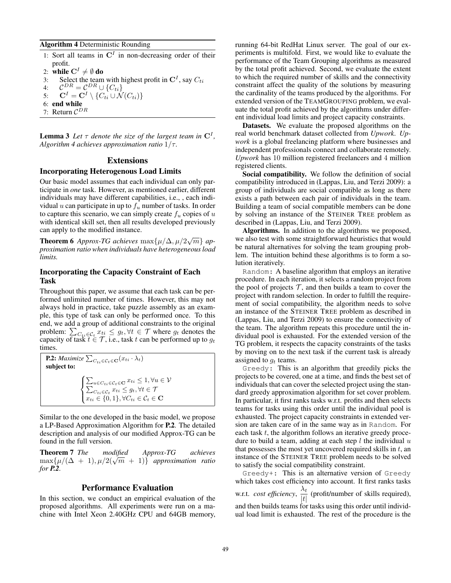### Algorithm 4 Deterministic Rounding

- 1: Sort all teams in  $C<sup>I</sup>$  in non-decreasing order of their profit.
- 2: **while**  $C^I \neq \emptyset$  **do**<br>3: Select the team
- Select the team with highest profit in  $\mathbf{C}^I$ , say  $C_{ti}$

4: 
$$
\mathcal{C}^{DR} = \mathcal{C}^{DR} \cup \{C_{ti}\}
$$
  
5. 
$$
\mathbf{C}^{I} = \mathbf{C}^{I} \setminus \{C_{ti}\} \cup \{C_{ti}\}
$$

5: 
$$
\mathbf{C}^I = \mathbf{C}^I \setminus \{C_{ti} \cup \mathcal{N}(C_{ti})\}
$$
6: end while

7: Return  $C^{DR}$ 

**Lemma 3** Let  $\tau$  denote the size of the largest team in  $\mathbb{C}^1$ , *Algorithm 4 achieves approximation ratio*  $1/\tau$ *.* 

## Extensions

## Incorporating Heterogenous Load Limits

Our basic model assumes that each individual can only participate in *one* task. However, as mentioned earlier, different individuals may have different capabilities, i.e., , each individual  $u$  can participate in up to  $f_u$  number of tasks. In order to capture this scenario, we can simply create  $f_u$  copies of  $u$ with identical skill set, then all results developed previously can apply to the modified instance.

**Theorem 6** Approx-TG achieves  $\max\{\mu/\Delta, \mu/2\sqrt{m}\}\$ approximation ratio when individuals have heterogeneous load *proximation ratio when individuals have heterogeneous load limits.*

# Incorporating the Capacity Constraint of Each Task

Throughout this paper, we assume that each task can be performed unlimited number of times. However, this may not always hold in practice, take puzzle assembly as an example, this type of task can only be performed once. To this end, we add a group of additional constraints to the original problem:  $\sum_{C_{ti} \in C_t} x_{ti} \leq g_t, \forall t \in \mathcal{T}$  where  $g_t$  denotes the capacity of task  $t \in \mathcal{T}$  i.e. task  $t$  can be performed up to  $g_t$ capacity of task  $\bar{t} \in \mathcal{T}$ , i.e., task  $t$  can be performed up to  $g_t$ <br>times times.

**P.2:** *Maximize*  $\sum_{C_{ti}\in\mathcal{C}_t\in\mathbf{C}}(x_{ti}\cdot \lambda_t)$ subject to:  $\sqrt{ }$  $\int$  $\overline{\mathcal{L}}$  $\sum_{u \in C_{ti} \in \mathcal{C}_t} x_{ti} \leq 1, \forall u \in \mathcal{V} \ \sum_{C_{ti} \in \mathcal{C}_t} x_{ti} \leq g_t, \forall t \in \mathcal{T}$  $x_{ti} \in \{0, 1\}, \forall C_{ti} \in \mathcal{C}_t \in \mathbf{C}$ 

Similar to the one developed in the basic model, we propose a LP-Based Approximation Algorithm for P.2. The detailed description and analysis of our modified Approx-TG can be found in the full version.

Theorem 7 *The modified Approx-TG achieves*  $\max\{\mu/(\Delta + 1), \mu/2(\sqrt{m} + 1)\}\$ approximation ratio *for P.2.*

### Performance Evaluation

In this section, we conduct an empirical evaluation of the proposed algorithms. All experiments were run on a machine with Intel Xeon 2.40GHz CPU and 64GB memory,

running 64-bit RedHat Linux server. The goal of our experiments is multifold. First, we would like to evaluate the performance of the Team Grouping algorithms as measured by the total profit achieved. Second, we evaluate the extent to which the required number of skills and the connectivity constraint affect the quality of the solutions by measuring the cardinality of the teams produced by the algorithms. For extended version of the TEAMGROUPING problem, we evaluate the total profit achieved by the algorithms under different individual load limits and project capacity constraints.

Datasets. We evaluate the proposed algorithms on the real world benchmark dataset collected from *Upwork*. *Upwork* is a global freelancing platform where businesses and independent professionals connect and collaborate remotely. *Upwork* has 10 million registered freelancers and 4 million registered clients.

Social compatibility. We follow the definition of social compatibility introduced in (Lappas, Liu, and Terzi 2009): a group of individuals are social compatible as long as there exists a path between each pair of individuals in the team. Building a team of social compatible members can be done by solving an instance of the STEINER TREE problem as described in (Lappas, Liu, and Terzi 2009).

Algorithms. In addition to the algorithms we proposed, we also test with some straightforward heuristics that would be natural alternatives for solving the team grouping problem. The intuition behind these algorithms is to form a solution iteratively.

Random: A baseline algorithm that employs an iterative procedure. In each iteration, it selects a random project from the pool of projects  $\mathcal T$ , and then builds a team to cover the project with random selection. In order to fulfill the requirement of social compatibility, the algorithm needs to solve an instance of the STEINER TREE problem as described in (Lappas, Liu, and Terzi 2009) to ensure the connectivity of the team. The algorithm repeats this procedure until the individual pool is exhausted. For the extended version of the TG problem, it respects the capacity constraints of the tasks by moving on to the next task if the current task is already assigned to  $q_t$  teams.

Greedy: This is an algorithm that greedily picks the projects to be covered, one at a time, and finds the best set of individuals that can cover the selected project using the standard greedy approximation algorithm for set cover problem. In particular, it first ranks tasks w.r.t. profits and then selects teams for tasks using this order until the individual pool is exhausted. The project capacity constraints in extended version are taken care of in the same way as in Random. For each task  $t$ , the algorithm follows an iterative greedy procedure to build a team, adding at each step  $l$  the individual  $u$ that possesses the most yet uncovered required skills in  $t$ , an instance of the STEINER TREE problem needs to be solved to satisfy the social compatibility constraint.

Greedy+: This is an alternative version of Greedy which takes cost efficiency into account. It first ranks tasks w.r.t. *cost efficiency*,  $\frac{\lambda_t}{|t|}$  (profit/number of skills required), and then builds teams for tasks using this order until individand then builds teams for tasks using this order until individual load limit is exhausted. The rest of the procedure is the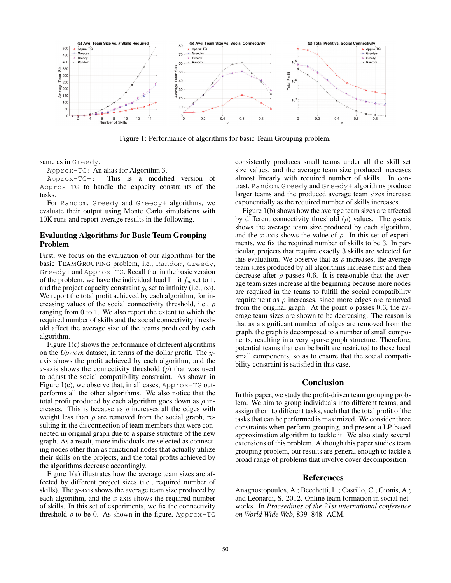

Figure 1: Performance of algorithms for basic Team Grouping problem.

same as in Greedy.

Approx-TG: An alias for Algorithm 3.

Approx-TG+: This is a modified version of Approx-TG to handle the capacity constraints of the tasks.

For Random, Greedy and Greedy+ algorithms, we evaluate their output using Monte Carlo simulations with 10K runs and report average results in the following.

## Evaluating Algorithms for Basic Team Grouping Problem

First, we focus on the evaluation of our algorithms for the basic TEAMGROUPING problem, i.e., Random, Greedy, Greedy+ and Approx-TG. Recall that in the basic version of the problem, we have the individual load limit  $f_u$  set to 1, and the project capacity constraint  $q_t$  set to infinity (i.e.,  $\infty$ ). We report the total profit achieved by each algorithm, for increasing values of the social connectivity threshold, i.e.,  $\rho$ ranging from 0 to 1. We also report the extent to which the required number of skills and the social connectivity threshold affect the average size of the teams produced by each algorithm.

Figure 1(c) shows the performance of different algorithms on the *Upwork* dataset, in terms of the dollar profit. The yaxis shows the profit achieved by each algorithm, and the x-axis shows the connectivity threshold  $(\rho)$  that was used to adjust the social compatibility constraint. As shown in Figure 1(c), we observe that, in all cases, Approx-TG outperforms all the other algorithms. We also notice that the total profit produced by each algorithm goes down as  $\rho$  increases. This is because as  $\rho$  increases all the edges with weight less than  $\rho$  are removed from the social graph, resulting in the disconnection of team members that were connected in original graph due to a sparse structure of the new graph. As a result, more individuals are selected as connecting nodes other than as functional nodes that actually utilize their skills on the projects, and the total profits achieved by the algorithms decrease accordingly.

Figure 1(a) illustrates how the average team sizes are affected by different project sizes (i.e., required number of skills). The y-axis shows the average team size produced by each algorithm, and the  $x$ -axis shows the required number of skills. In this set of experiments, we fix the connectivity threshold  $\rho$  to be 0. As shown in the figure, Approx-TG

consistently produces small teams under all the skill set size values, and the average team size produced increases almost linearly with required number of skills. In contrast, Random, Greedy and Greedy+ algorithms produce larger teams and the produced average team sizes increase exponentially as the required number of skills increases.

Figure 1(b) shows how the average team sizes are affected by different connectivity threshold  $(\rho)$  values. The y-axis shows the average team size produced by each algorithm, and the x-axis shows the value of  $\rho$ . In this set of experiments, we fix the required number of skills to be 3. In particular, projects that require exactly 3 skills are selected for this evaluation. We observe that as  $\rho$  increases, the average team sizes produced by all algorithms increase first and then decrease after  $\rho$  passes 0.6. It is reasonable that the average team sizes increase at the beginning because more nodes are required in the teams to fulfill the social compatibility requirement as  $\rho$  increases, since more edges are removed from the original graph. At the point  $\rho$  passes 0.6, the average team sizes are shown to be decreasing. The reason is that as a significant number of edges are removed from the graph, the graph is decomposed to a number of small components, resulting in a very sparse graph structure. Therefore, potential teams that can be built are restricted to these local small components, so as to ensure that the social compatibility constraint is satisfied in this case.

## **Conclusion**

In this paper, we study the profit-driven team grouping problem. We aim to group individuals into different teams, and assign them to different tasks, such that the total profit of the tasks that can be performed is maximized. We consider three constraints when perform grouping, and present a LP-based approximation algorithm to tackle it. We also study several extensions of this problem. Although this paper studies team grouping problem, our results are general enough to tackle a broad range of problems that involve cover decomposition.

#### References

Anagnostopoulos, A.; Becchetti, L.; Castillo, C.; Gionis, A.; and Leonardi, S. 2012. Online team formation in social networks. In *Proceedings of the 21st international conference on World Wide Web*, 839–848. ACM.